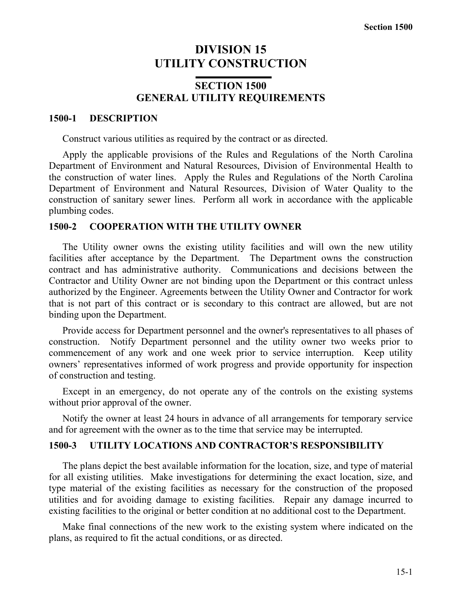# **DIVISION 15 UTILITY CONSTRUCTION**

# **SECTION 1500 GENERAL UTILITY REQUIREMENTS**

#### **1500-1 DESCRIPTION**

Construct various utilities as required by the contract or as directed.

Apply the applicable provisions of the Rules and Regulations of the North Carolina Department of Environment and Natural Resources, Division of Environmental Health to the construction of water lines. Apply the Rules and Regulations of the North Carolina Department of Environment and Natural Resources, Division of Water Quality to the construction of sanitary sewer lines. Perform all work in accordance with the applicable plumbing codes.

#### **1500-2 COOPERATION WITH THE UTILITY OWNER**

The Utility owner owns the existing utility facilities and will own the new utility facilities after acceptance by the Department. The Department owns the construction contract and has administrative authority. Communications and decisions between the Contractor and Utility Owner are not binding upon the Department or this contract unless authorized by the Engineer. Agreements between the Utility Owner and Contractor for work that is not part of this contract or is secondary to this contract are allowed, but are not binding upon the Department.

Provide access for Department personnel and the owner's representatives to all phases of construction. Notify Department personnel and the utility owner two weeks prior to commencement of any work and one week prior to service interruption. Keep utility owners' representatives informed of work progress and provide opportunity for inspection of construction and testing.

Except in an emergency, do not operate any of the controls on the existing systems without prior approval of the owner.

Notify the owner at least 24 hours in advance of all arrangements for temporary service and for agreement with the owner as to the time that service may be interrupted.

## **1500-3 UTILITY LOCATIONS AND CONTRACTOR'S RESPONSIBILITY**

The plans depict the best available information for the location, size, and type of material for all existing utilities. Make investigations for determining the exact location, size, and type material of the existing facilities as necessary for the construction of the proposed utilities and for avoiding damage to existing facilities. Repair any damage incurred to existing facilities to the original or better condition at no additional cost to the Department.

Make final connections of the new work to the existing system where indicated on the plans, as required to fit the actual conditions, or as directed.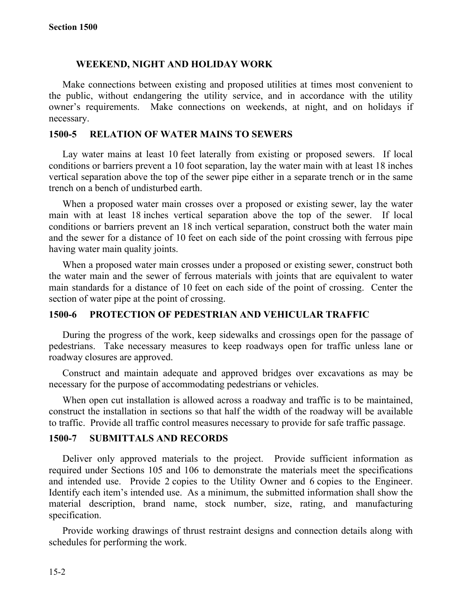## **WEEKEND, NIGHT AND HOLIDAY WORK**

Make connections between existing and proposed utilities at times most convenient to the public, without endangering the utility service, and in accordance with the utility owner's requirements. Make connections on weekends, at night, and on holidays if necessary.

#### **1500-5 RELATION OF WATER MAINS TO SEWERS**

Lay water mains at least 10 feet laterally from existing or proposed sewers. If local conditions or barriers prevent a 10 foot separation, lay the water main with at least 18 inches vertical separation above the top of the sewer pipe either in a separate trench or in the same trench on a bench of undisturbed earth.

When a proposed water main crosses over a proposed or existing sewer, lay the water main with at least 18 inches vertical separation above the top of the sewer. If local conditions or barriers prevent an 18 inch vertical separation, construct both the water main and the sewer for a distance of 10 feet on each side of the point crossing with ferrous pipe having water main quality joints.

When a proposed water main crosses under a proposed or existing sewer, construct both the water main and the sewer of ferrous materials with joints that are equivalent to water main standards for a distance of 10 feet on each side of the point of crossing. Center the section of water pipe at the point of crossing.

## **1500-6 PROTECTION OF PEDESTRIAN AND VEHICULAR TRAFFIC**

During the progress of the work, keep sidewalks and crossings open for the passage of pedestrians. Take necessary measures to keep roadways open for traffic unless lane or roadway closures are approved.

Construct and maintain adequate and approved bridges over excavations as may be necessary for the purpose of accommodating pedestrians or vehicles.

When open cut installation is allowed across a roadway and traffic is to be maintained, construct the installation in sections so that half the width of the roadway will be available to traffic. Provide all traffic control measures necessary to provide for safe traffic passage.

#### **1500-7 SUBMITTALS AND RECORDS**

Deliver only approved materials to the project. Provide sufficient information as required under Sections 105 and 106 to demonstrate the materials meet the specifications and intended use. Provide 2 copies to the Utility Owner and 6 copies to the Engineer. Identify each item's intended use. As a minimum, the submitted information shall show the material description, brand name, stock number, size, rating, and manufacturing specification.

Provide working drawings of thrust restraint designs and connection details along with schedules for performing the work.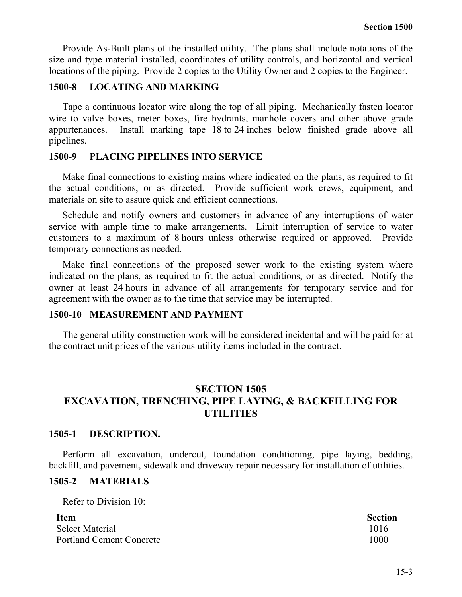Provide As-Built plans of the installed utility. The plans shall include notations of the size and type material installed, coordinates of utility controls, and horizontal and vertical locations of the piping. Provide 2 copies to the Utility Owner and 2 copies to the Engineer.

## **1500-8 LOCATING AND MARKING**

Tape a continuous locator wire along the top of all piping. Mechanically fasten locator wire to valve boxes, meter boxes, fire hydrants, manhole covers and other above grade appurtenances. Install marking tape 18 to 24 inches below finished grade above all pipelines.

## **1500-9 PLACING PIPELINES INTO SERVICE**

Make final connections to existing mains where indicated on the plans, as required to fit the actual conditions, or as directed. Provide sufficient work crews, equipment, and materials on site to assure quick and efficient connections.

Schedule and notify owners and customers in advance of any interruptions of water service with ample time to make arrangements. Limit interruption of service to water customers to a maximum of 8 hours unless otherwise required or approved. Provide temporary connections as needed.

Make final connections of the proposed sewer work to the existing system where indicated on the plans, as required to fit the actual conditions, or as directed. Notify the owner at least 24 hours in advance of all arrangements for temporary service and for agreement with the owner as to the time that service may be interrupted.

## **1500-10 MEASUREMENT AND PAYMENT**

The general utility construction work will be considered incidental and will be paid for at the contract unit prices of the various utility items included in the contract.

# **SECTION 1505 EXCAVATION, TRENCHING, PIPE LAYING, & BACKFILLING FOR UTILITIES**

## **1505-1 DESCRIPTION.**

Perform all excavation, undercut, foundation conditioning, pipe laying, bedding, backfill, and pavement, sidewalk and driveway repair necessary for installation of utilities.

## **1505-2 MATERIALS**

Refer to Division 10:

| <b>Item</b>                     | <b>Section</b> |
|---------------------------------|----------------|
| <b>Select Material</b>          | 1016           |
| <b>Portland Cement Concrete</b> | 1000           |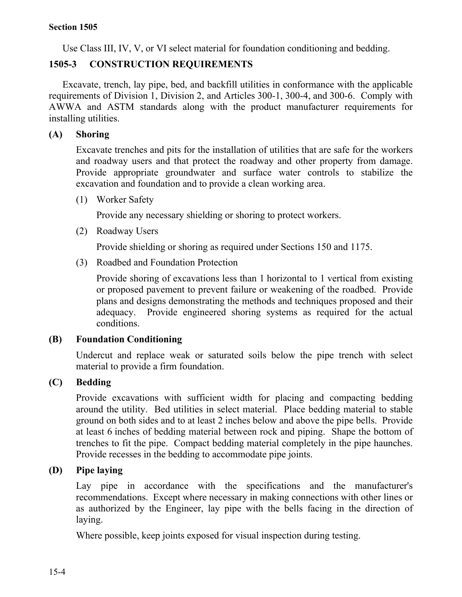Use Class III, IV, V, or VI select material for foundation conditioning and bedding.

# **1505-3 CONSTRUCTION REQUIREMENTS**

Excavate, trench, lay pipe, bed, and backfill utilities in conformance with the applicable requirements of Division 1, Division 2, and Articles 300-1, 300-4, and 300-6. Comply with AWWA and ASTM standards along with the product manufacturer requirements for installing utilities.

# **(A) Shoring**

Excavate trenches and pits for the installation of utilities that are safe for the workers and roadway users and that protect the roadway and other property from damage. Provide appropriate groundwater and surface water controls to stabilize the excavation and foundation and to provide a clean working area.

(1) Worker Safety

Provide any necessary shielding or shoring to protect workers.

(2) Roadway Users

Provide shielding or shoring as required under Sections 150 and 1175.

(3) Roadbed and Foundation Protection

Provide shoring of excavations less than 1 horizontal to 1 vertical from existing or proposed pavement to prevent failure or weakening of the roadbed. Provide plans and designs demonstrating the methods and techniques proposed and their adequacy. Provide engineered shoring systems as required for the actual conditions.

# **(B) Foundation Conditioning**

Undercut and replace weak or saturated soils below the pipe trench with select material to provide a firm foundation.

# **(C) Bedding**

Provide excavations with sufficient width for placing and compacting bedding around the utility. Bed utilities in select material. Place bedding material to stable ground on both sides and to at least 2 inches below and above the pipe bells. Provide at least 6 inches of bedding material between rock and piping. Shape the bottom of trenches to fit the pipe. Compact bedding material completely in the pipe haunches. Provide recesses in the bedding to accommodate pipe joints.

# **(D) Pipe laying**

Lay pipe in accordance with the specifications and the manufacturer's recommendations. Except where necessary in making connections with other lines or as authorized by the Engineer, lay pipe with the bells facing in the direction of laying.

Where possible, keep joints exposed for visual inspection during testing.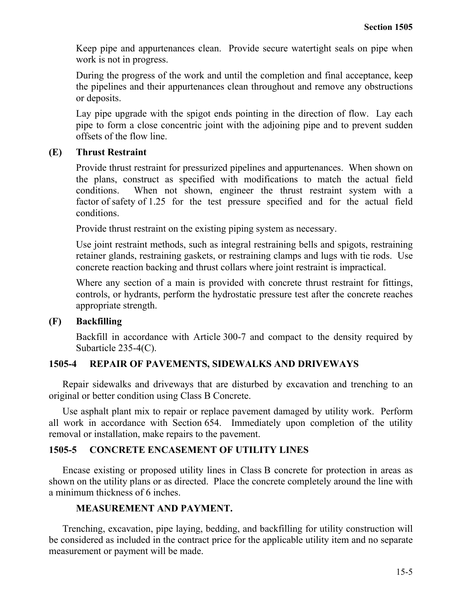Keep pipe and appurtenances clean. Provide secure watertight seals on pipe when work is not in progress.

During the progress of the work and until the completion and final acceptance, keep the pipelines and their appurtenances clean throughout and remove any obstructions or deposits.

Lay pipe upgrade with the spigot ends pointing in the direction of flow. Lay each pipe to form a close concentric joint with the adjoining pipe and to prevent sudden offsets of the flow line.

# **(E) Thrust Restraint**

Provide thrust restraint for pressurized pipelines and appurtenances. When shown on the plans, construct as specified with modifications to match the actual field conditions. When not shown, engineer the thrust restraint system with a factor of safety of 1.25 for the test pressure specified and for the actual field conditions.

Provide thrust restraint on the existing piping system as necessary.

Use joint restraint methods, such as integral restraining bells and spigots, restraining retainer glands, restraining gaskets, or restraining clamps and lugs with tie rods. Use concrete reaction backing and thrust collars where joint restraint is impractical.

Where any section of a main is provided with concrete thrust restraint for fittings, controls, or hydrants, perform the hydrostatic pressure test after the concrete reaches appropriate strength.

# **(F) Backfilling**

Backfill in accordance with Article 300-7 and compact to the density required by Subarticle 235-4(C).

# **1505-4 REPAIR OF PAVEMENTS, SIDEWALKS AND DRIVEWAYS**

Repair sidewalks and driveways that are disturbed by excavation and trenching to an original or better condition using Class B Concrete.

Use asphalt plant mix to repair or replace pavement damaged by utility work. Perform all work in accordance with Section 654. Immediately upon completion of the utility removal or installation, make repairs to the pavement.

# **1505-5 CONCRETE ENCASEMENT OF UTILITY LINES**

Encase existing or proposed utility lines in Class B concrete for protection in areas as shown on the utility plans or as directed. Place the concrete completely around the line with a minimum thickness of 6 inches.

# **MEASUREMENT AND PAYMENT.**

Trenching, excavation, pipe laying, bedding, and backfilling for utility construction will be considered as included in the contract price for the applicable utility item and no separate measurement or payment will be made.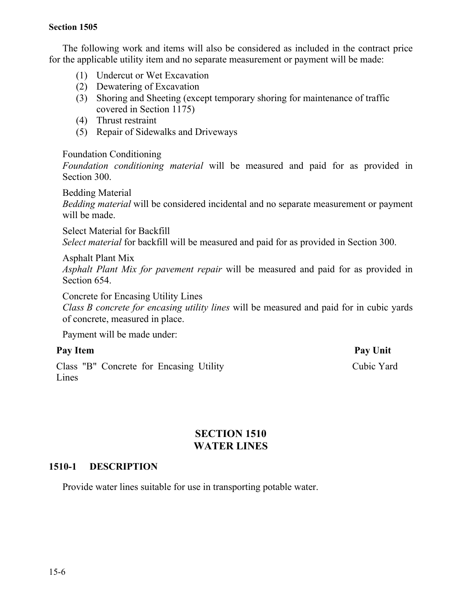The following work and items will also be considered as included in the contract price for the applicable utility item and no separate measurement or payment will be made:

- (1) Undercut or Wet Excavation
- (2) Dewatering of Excavation
- (3) Shoring and Sheeting (except temporary shoring for maintenance of traffic covered in Section 1175)
- (4) Thrust restraint
- (5) Repair of Sidewalks and Driveways

## Foundation Conditioning

*Foundation conditioning material* will be measured and paid for as provided in Section 300.

Bedding Material

*Bedding material* will be considered incidental and no separate measurement or payment will be made.

Select Material for Backfill *Select material* for backfill will be measured and paid for as provided in Section 300.

Asphalt Plant Mix

*Asphalt Plant Mix for pavement repair* will be measured and paid for as provided in Section 654.

Concrete for Encasing Utility Lines

*Class B concrete for encasing utility lines* will be measured and paid for in cubic yards of concrete, measured in place.

Payment will be made under:

Class "B" Concrete for Encasing Utility Lines

Pay Item Pay Unit Cubic Yard

# **SECTION 1510 WATER LINES**

# **1510-1 DESCRIPTION**

Provide water lines suitable for use in transporting potable water.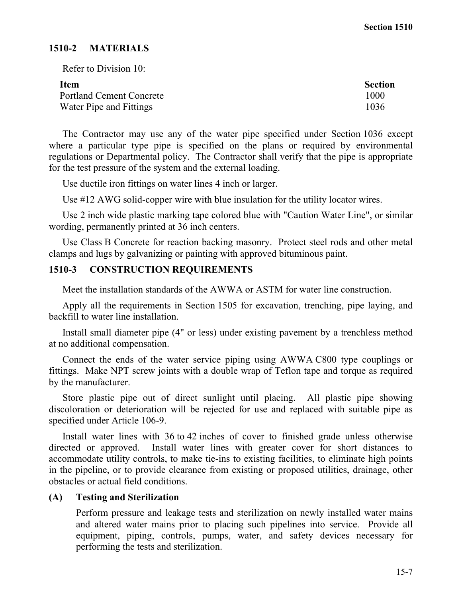# **1510-2 MATERIALS**

Refer to Division 10:

| Item                            | <b>Section</b> |
|---------------------------------|----------------|
| <b>Portland Cement Concrete</b> | 1000           |
| Water Pipe and Fittings         | 1036           |

The Contractor may use any of the water pipe specified under Section 1036 except where a particular type pipe is specified on the plans or required by environmental regulations or Departmental policy. The Contractor shall verify that the pipe is appropriate for the test pressure of the system and the external loading.

Use ductile iron fittings on water lines 4 inch or larger.

Use #12 AWG solid-copper wire with blue insulation for the utility locator wires.

Use 2 inch wide plastic marking tape colored blue with "Caution Water Line", or similar wording, permanently printed at 36 inch centers.

Use Class B Concrete for reaction backing masonry. Protect steel rods and other metal clamps and lugs by galvanizing or painting with approved bituminous paint.

# **1510-3 CONSTRUCTION REQUIREMENTS**

Meet the installation standards of the AWWA or ASTM for water line construction.

Apply all the requirements in Section 1505 for excavation, trenching, pipe laying, and backfill to water line installation.

Install small diameter pipe (4" or less) under existing pavement by a trenchless method at no additional compensation.

Connect the ends of the water service piping using AWWA C800 type couplings or fittings. Make NPT screw joints with a double wrap of Teflon tape and torque as required by the manufacturer.

Store plastic pipe out of direct sunlight until placing. All plastic pipe showing discoloration or deterioration will be rejected for use and replaced with suitable pipe as specified under Article 106-9.

Install water lines with 36 to 42 inches of cover to finished grade unless otherwise directed or approved. Install water lines with greater cover for short distances to accommodate utility controls, to make tie-ins to existing facilities, to eliminate high points in the pipeline, or to provide clearance from existing or proposed utilities, drainage, other obstacles or actual field conditions.

# **(A) Testing and Sterilization**

Perform pressure and leakage tests and sterilization on newly installed water mains and altered water mains prior to placing such pipelines into service. Provide all equipment, piping, controls, pumps, water, and safety devices necessary for performing the tests and sterilization.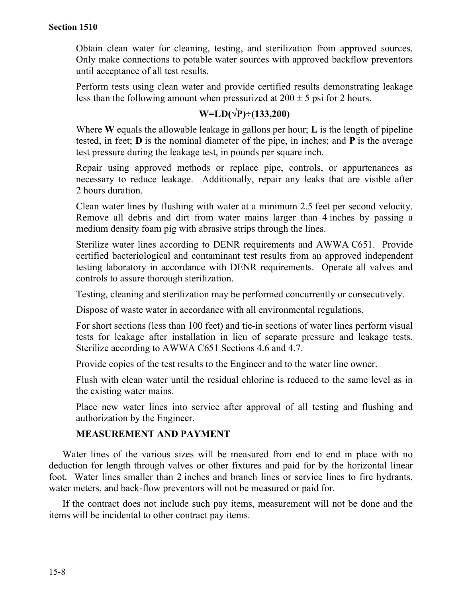Obtain clean water for cleaning, testing, and sterilization from approved sources. Only make connections to potable water sources with approved backflow preventors until acceptance of all test results.

Perform tests using clean water and provide certified results demonstrating leakage less than the following amount when pressurized at  $200 \pm 5$  psi for 2 hours.

# **W=LD(√P)÷(133,200)**

Where **W** equals the allowable leakage in gallons per hour; **L** is the length of pipeline tested, in feet; **D** is the nominal diameter of the pipe, in inches; and **P** is the average test pressure during the leakage test, in pounds per square inch.

Repair using approved methods or replace pipe, controls, or appurtenances as necessary to reduce leakage. Additionally, repair any leaks that are visible after 2 hours duration.

Clean water lines by flushing with water at a minimum 2.5 feet per second velocity. Remove all debris and dirt from water mains larger than 4 inches by passing a medium density foam pig with abrasive strips through the lines.

Sterilize water lines according to DENR requirements and AWWA C651. Provide certified bacteriological and contaminant test results from an approved independent testing laboratory in accordance with DENR requirements. Operate all valves and controls to assure thorough sterilization.

Testing, cleaning and sterilization may be performed concurrently or consecutively.

Dispose of waste water in accordance with all environmental regulations.

For short sections (less than 100 feet) and tie-in sections of water lines perform visual tests for leakage after installation in lieu of separate pressure and leakage tests. Sterilize according to AWWA C651 Sections 4.6 and 4.7.

Provide copies of the test results to the Engineer and to the water line owner.

Flush with clean water until the residual chlorine is reduced to the same level as in the existing water mains.

Place new water lines into service after approval of all testing and flushing and authorization by the Engineer.

# **MEASUREMENT AND PAYMENT**

Water lines of the various sizes will be measured from end to end in place with no deduction for length through valves or other fixtures and paid for by the horizontal linear foot. Water lines smaller than 2 inches and branch lines or service lines to fire hydrants, water meters, and back-flow preventors will not be measured or paid for.

If the contract does not include such pay items, measurement will not be done and the items will be incidental to other contract pay items.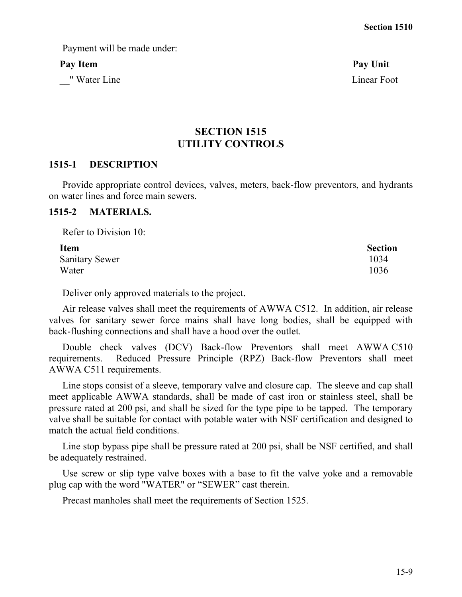Payment will be made under:

\_\_" Water Line Linear Foot

Pay Item **Pay Unit** 

# **SECTION 1515 UTILITY CONTROLS**

#### **1515-1 DESCRIPTION**

Provide appropriate control devices, valves, meters, back-flow preventors, and hydrants on water lines and force main sewers.

## **1515-2 MATERIALS.**

Refer to Division 10:

| <b>Item</b>           | <b>Section</b> |
|-----------------------|----------------|
| <b>Sanitary Sewer</b> | 1034           |
| Water                 | 1036           |

Deliver only approved materials to the project.

Air release valves shall meet the requirements of AWWA C512. In addition, air release valves for sanitary sewer force mains shall have long bodies, shall be equipped with back-flushing connections and shall have a hood over the outlet.

Double check valves (DCV) Back-flow Preventors shall meet AWWA C510 requirements. Reduced Pressure Principle (RPZ) Back-flow Preventors shall meet AWWA C511 requirements.

Line stops consist of a sleeve, temporary valve and closure cap. The sleeve and cap shall meet applicable AWWA standards, shall be made of cast iron or stainless steel, shall be pressure rated at 200 psi, and shall be sized for the type pipe to be tapped. The temporary valve shall be suitable for contact with potable water with NSF certification and designed to match the actual field conditions.

Line stop bypass pipe shall be pressure rated at 200 psi, shall be NSF certified, and shall be adequately restrained.

Use screw or slip type valve boxes with a base to fit the valve yoke and a removable plug cap with the word "WATER" or "SEWER" cast therein.

Precast manholes shall meet the requirements of Section 1525.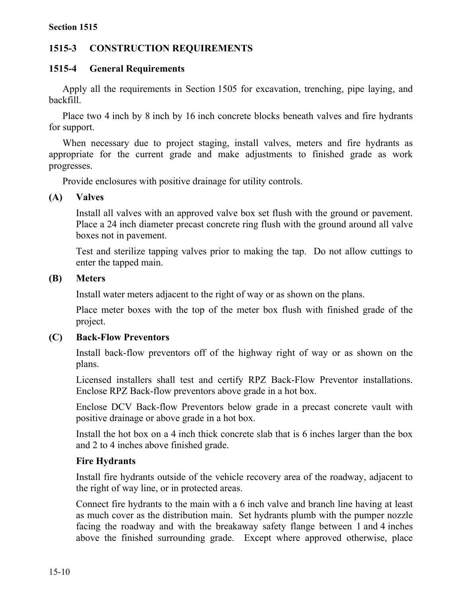# **1515-3 CONSTRUCTION REQUIREMENTS**

# **1515-4 General Requirements**

Apply all the requirements in Section 1505 for excavation, trenching, pipe laying, and backfill.

Place two 4 inch by 8 inch by 16 inch concrete blocks beneath valves and fire hydrants for support.

When necessary due to project staging, install valves, meters and fire hydrants as appropriate for the current grade and make adjustments to finished grade as work progresses.

Provide enclosures with positive drainage for utility controls.

# **(A) Valves**

Install all valves with an approved valve box set flush with the ground or pavement. Place a 24 inch diameter precast concrete ring flush with the ground around all valve boxes not in pavement.

Test and sterilize tapping valves prior to making the tap. Do not allow cuttings to enter the tapped main.

# **(B) Meters**

Install water meters adjacent to the right of way or as shown on the plans.

Place meter boxes with the top of the meter box flush with finished grade of the project.

# **(C) Back-Flow Preventors**

Install back-flow preventors off of the highway right of way or as shown on the plans.

Licensed installers shall test and certify RPZ Back-Flow Preventor installations. Enclose RPZ Back-flow preventors above grade in a hot box.

Enclose DCV Back-flow Preventors below grade in a precast concrete vault with positive drainage or above grade in a hot box.

Install the hot box on a 4 inch thick concrete slab that is 6 inches larger than the box and 2 to 4 inches above finished grade.

# **Fire Hydrants**

Install fire hydrants outside of the vehicle recovery area of the roadway, adjacent to the right of way line, or in protected areas.

Connect fire hydrants to the main with a 6 inch valve and branch line having at least as much cover as the distribution main. Set hydrants plumb with the pumper nozzle facing the roadway and with the breakaway safety flange between 1 and 4 inches above the finished surrounding grade. Except where approved otherwise, place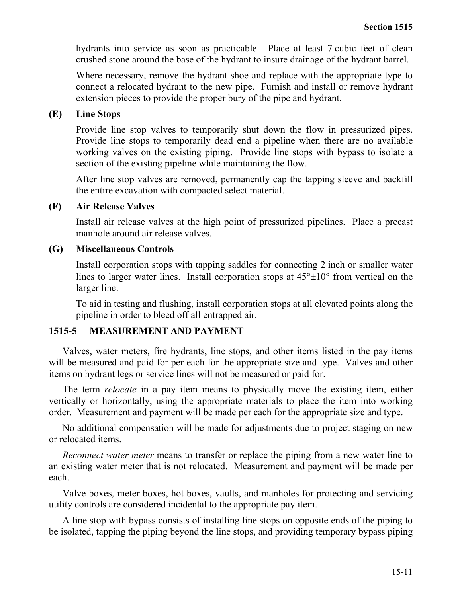hydrants into service as soon as practicable. Place at least 7 cubic feet of clean crushed stone around the base of the hydrant to insure drainage of the hydrant barrel.

Where necessary, remove the hydrant shoe and replace with the appropriate type to connect a relocated hydrant to the new pipe. Furnish and install or remove hydrant extension pieces to provide the proper bury of the pipe and hydrant.

## **(E) Line Stops**

Provide line stop valves to temporarily shut down the flow in pressurized pipes. Provide line stops to temporarily dead end a pipeline when there are no available working valves on the existing piping. Provide line stops with bypass to isolate a section of the existing pipeline while maintaining the flow.

After line stop valves are removed, permanently cap the tapping sleeve and backfill the entire excavation with compacted select material.

## **(F) Air Release Valves**

Install air release valves at the high point of pressurized pipelines. Place a precast manhole around air release valves.

## **(G) Miscellaneous Controls**

Install corporation stops with tapping saddles for connecting 2 inch or smaller water lines to larger water lines. Install corporation stops at  $45^{\circ} \pm 10^{\circ}$  from vertical on the larger line.

To aid in testing and flushing, install corporation stops at all elevated points along the pipeline in order to bleed off all entrapped air.

# **1515-5 MEASUREMENT AND PAYMENT**

Valves, water meters, fire hydrants, line stops, and other items listed in the pay items will be measured and paid for per each for the appropriate size and type. Valves and other items on hydrant legs or service lines will not be measured or paid for.

The term *relocate* in a pay item means to physically move the existing item, either vertically or horizontally, using the appropriate materials to place the item into working order. Measurement and payment will be made per each for the appropriate size and type.

No additional compensation will be made for adjustments due to project staging on new or relocated items.

*Reconnect water meter* means to transfer or replace the piping from a new water line to an existing water meter that is not relocated. Measurement and payment will be made per each.

Valve boxes, meter boxes, hot boxes, vaults, and manholes for protecting and servicing utility controls are considered incidental to the appropriate pay item.

A line stop with bypass consists of installing line stops on opposite ends of the piping to be isolated, tapping the piping beyond the line stops, and providing temporary bypass piping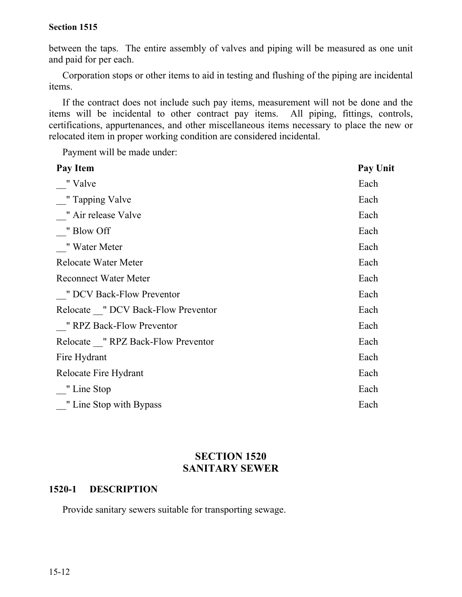between the taps. The entire assembly of valves and piping will be measured as one unit and paid for per each.

Corporation stops or other items to aid in testing and flushing of the piping are incidental items.

If the contract does not include such pay items, measurement will not be done and the items will be incidental to other contract pay items. All piping, fittings, controls, certifications, appurtenances, and other miscellaneous items necessary to place the new or relocated item in proper working condition are considered incidental.

Payment will be made under:

| <b>Pay Unit</b> |
|-----------------|
| Each            |
| Each            |
| Each            |
| Each            |
| Each            |
| Each            |
| Each            |
| Each            |
| Each            |
| Each            |
| Each            |
| Each            |
| Each            |
| Each            |
| Each            |
|                 |

# **SECTION 1520 SANITARY SEWER**

## **1520-1 DESCRIPTION**

Provide sanitary sewers suitable for transporting sewage.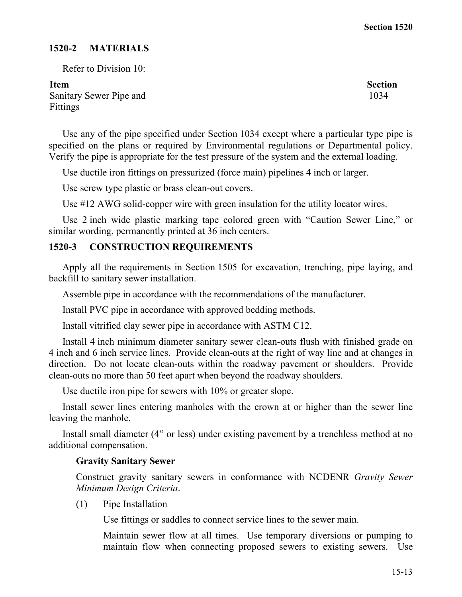## **1520-2 MATERIALS**

Refer to Division 10:

Sanitary Sewer Pipe and Fittings

Use any of the pipe specified under Section 1034 except where a particular type pipe is specified on the plans or required by Environmental regulations or Departmental policy. Verify the pipe is appropriate for the test pressure of the system and the external loading.

Use ductile iron fittings on pressurized (force main) pipelines 4 inch or larger.

Use screw type plastic or brass clean-out covers.

Use #12 AWG solid-copper wire with green insulation for the utility locator wires.

Use 2 inch wide plastic marking tape colored green with "Caution Sewer Line," or similar wording, permanently printed at 36 inch centers.

# **1520-3 CONSTRUCTION REQUIREMENTS**

Apply all the requirements in Section 1505 for excavation, trenching, pipe laying, and backfill to sanitary sewer installation.

Assemble pipe in accordance with the recommendations of the manufacturer.

Install PVC pipe in accordance with approved bedding methods.

Install vitrified clay sewer pipe in accordance with ASTM C12.

Install 4 inch minimum diameter sanitary sewer clean-outs flush with finished grade on 4 inch and 6 inch service lines. Provide clean-outs at the right of way line and at changes in direction. Do not locate clean-outs within the roadway pavement or shoulders. Provide clean-outs no more than 50 feet apart when beyond the roadway shoulders.

Use ductile iron pipe for sewers with 10% or greater slope.

Install sewer lines entering manholes with the crown at or higher than the sewer line leaving the manhole.

Install small diameter (4" or less) under existing pavement by a trenchless method at no additional compensation.

## **Gravity Sanitary Sewer**

Construct gravity sanitary sewers in conformance with NCDENR *Gravity Sewer Minimum Design Criteria*.

(1) Pipe Installation

Use fittings or saddles to connect service lines to the sewer main.

Maintain sewer flow at all times. Use temporary diversions or pumping to maintain flow when connecting proposed sewers to existing sewers. Use

**Item** Section 1034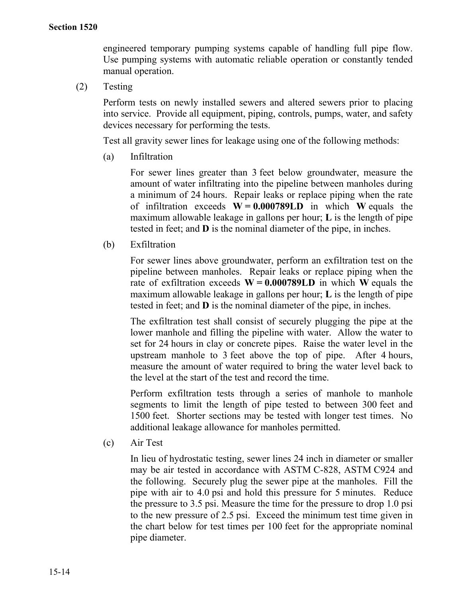engineered temporary pumping systems capable of handling full pipe flow. Use pumping systems with automatic reliable operation or constantly tended manual operation.

(2) Testing

Perform tests on newly installed sewers and altered sewers prior to placing into service. Provide all equipment, piping, controls, pumps, water, and safety devices necessary for performing the tests.

Test all gravity sewer lines for leakage using one of the following methods:

(a) Infiltration

For sewer lines greater than 3 feet below groundwater, measure the amount of water infiltrating into the pipeline between manholes during a minimum of 24 hours. Repair leaks or replace piping when the rate of infiltration exceeds **W = 0.000789LD** in which **W** equals the maximum allowable leakage in gallons per hour; **L** is the length of pipe tested in feet; and **D** is the nominal diameter of the pipe, in inches.

(b) Exfiltration

For sewer lines above groundwater, perform an exfiltration test on the pipeline between manholes. Repair leaks or replace piping when the rate of exfiltration exceeds  $W = 0.000789LD$  in which W equals the maximum allowable leakage in gallons per hour; **L** is the length of pipe tested in feet; and **D** is the nominal diameter of the pipe, in inches.

The exfiltration test shall consist of securely plugging the pipe at the lower manhole and filling the pipeline with water. Allow the water to set for 24 hours in clay or concrete pipes. Raise the water level in the upstream manhole to 3 feet above the top of pipe. After 4 hours, measure the amount of water required to bring the water level back to the level at the start of the test and record the time.

Perform exfiltration tests through a series of manhole to manhole segments to limit the length of pipe tested to between 300 feet and 1500 feet. Shorter sections may be tested with longer test times. No additional leakage allowance for manholes permitted.

(c) Air Test

In lieu of hydrostatic testing, sewer lines 24 inch in diameter or smaller may be air tested in accordance with ASTM C-828, ASTM C924 and the following. Securely plug the sewer pipe at the manholes. Fill the pipe with air to 4.0 psi and hold this pressure for 5 minutes. Reduce the pressure to 3.5 psi. Measure the time for the pressure to drop 1.0 psi to the new pressure of 2.5 psi. Exceed the minimum test time given in the chart below for test times per 100 feet for the appropriate nominal pipe diameter.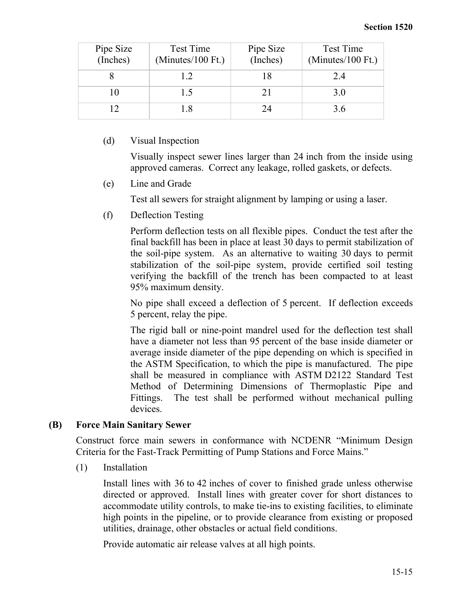| Pipe Size<br>(Inches) | <b>Test Time</b><br>$(Minutes/100$ Ft.) | Pipe Size<br>(Inches) | Test Time<br>$(Minutes/100$ Ft.) |
|-----------------------|-----------------------------------------|-----------------------|----------------------------------|
|                       | 12                                      | 18                    | 2.4                              |
| 10                    | 15                                      | 21                    | 3.0                              |
|                       | 1.8                                     | 24                    | 3.6                              |

# (d) Visual Inspection

Visually inspect sewer lines larger than 24 inch from the inside using approved cameras. Correct any leakage, rolled gaskets, or defects.

(e) Line and Grade

Test all sewers for straight alignment by lamping or using a laser.

(f) Deflection Testing

Perform deflection tests on all flexible pipes. Conduct the test after the final backfill has been in place at least 30 days to permit stabilization of the soil-pipe system. As an alternative to waiting 30 days to permit stabilization of the soil-pipe system, provide certified soil testing verifying the backfill of the trench has been compacted to at least 95% maximum density.

No pipe shall exceed a deflection of 5 percent. If deflection exceeds 5 percent, relay the pipe.

The rigid ball or nine-point mandrel used for the deflection test shall have a diameter not less than 95 percent of the base inside diameter or average inside diameter of the pipe depending on which is specified in the ASTM Specification, to which the pipe is manufactured. The pipe shall be measured in compliance with ASTM D2122 Standard Test Method of Determining Dimensions of Thermoplastic Pipe and Fittings. The test shall be performed without mechanical pulling devices.

# **(B) Force Main Sanitary Sewer**

Construct force main sewers in conformance with NCDENR "Minimum Design Criteria for the Fast-Track Permitting of Pump Stations and Force Mains."

(1) Installation

Install lines with 36 to 42 inches of cover to finished grade unless otherwise directed or approved. Install lines with greater cover for short distances to accommodate utility controls, to make tie-ins to existing facilities, to eliminate high points in the pipeline, or to provide clearance from existing or proposed utilities, drainage, other obstacles or actual field conditions.

Provide automatic air release valves at all high points.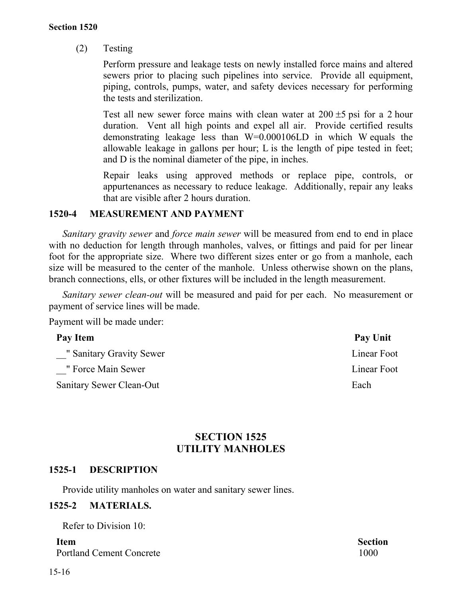(2) Testing

Perform pressure and leakage tests on newly installed force mains and altered sewers prior to placing such pipelines into service. Provide all equipment, piping, controls, pumps, water, and safety devices necessary for performing the tests and sterilization.

Test all new sewer force mains with clean water at  $200 \pm 5$  psi for a 2 hour duration. Vent all high points and expel all air. Provide certified results demonstrating leakage less than W=0.000106LD in which W equals the allowable leakage in gallons per hour; L is the length of pipe tested in feet; and D is the nominal diameter of the pipe, in inches.

Repair leaks using approved methods or replace pipe, controls, or appurtenances as necessary to reduce leakage. Additionally, repair any leaks that are visible after 2 hours duration.

## **1520-4 MEASUREMENT AND PAYMENT**

*Sanitary gravity sewer* and *force main sewer* will be measured from end to end in place with no deduction for length through manholes, valves, or fittings and paid for per linear foot for the appropriate size. Where two different sizes enter or go from a manhole, each size will be measured to the center of the manhole. Unless otherwise shown on the plans, branch connections, ells, or other fixtures will be included in the length measurement.

*Sanitary sewer clean-out* will be measured and paid for per each. No measurement or payment of service lines will be made.

Payment will be made under:

| Pay Item                 | Pay Unit    |
|--------------------------|-------------|
| " Sanitary Gravity Sewer | Linear Foot |
| " Force Main Sewer       | Linear Foot |
| Sanitary Sewer Clean-Out | Each        |
|                          |             |

# **SECTION 1525 UTILITY MANHOLES**

# **1525-1 DESCRIPTION**

Provide utility manholes on water and sanitary sewer lines.

## **1525-2 MATERIALS.**

Refer to Division 10:

Portland Cement Concrete 1000 and 1000 and 1000 and 1000 and 1000 and 1000 and 1000 and 1000 and 1000 and 1000 and 1000 and 1000 and 1000 and 1000 and 1000 and 1000 and 1000 and 1000 and 1000 and 1000 and 1000 and 1000 and

**Item Section**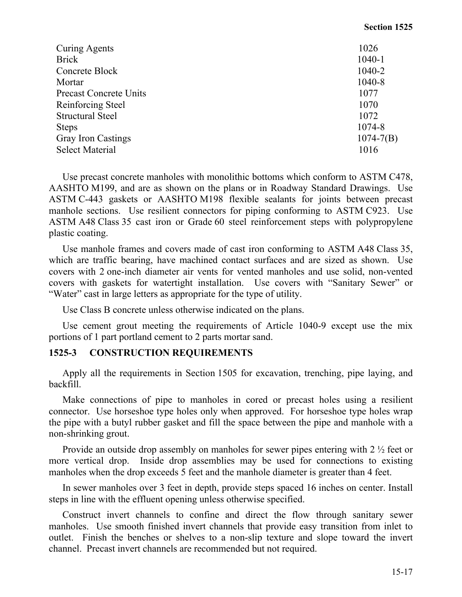| <b>Curing Agents</b>          | 1026          |
|-------------------------------|---------------|
| <b>Brick</b>                  | $1040 - 1$    |
| Concrete Block                | 1040-2        |
| Mortar                        | 1040-8        |
| <b>Precast Concrete Units</b> | 1077          |
| Reinforcing Steel             | 1070          |
| <b>Structural Steel</b>       | 1072          |
| <b>Steps</b>                  | 1074-8        |
| <b>Gray Iron Castings</b>     | $1074 - 7(B)$ |
| <b>Select Material</b>        | 1016          |

Use precast concrete manholes with monolithic bottoms which conform to ASTM C478, AASHTO M199, and are as shown on the plans or in Roadway Standard Drawings. Use ASTM C-443 gaskets or AASHTO M198 flexible sealants for joints between precast manhole sections. Use resilient connectors for piping conforming to ASTM C923. Use ASTM A48 Class 35 cast iron or Grade 60 steel reinforcement steps with polypropylene plastic coating.

Use manhole frames and covers made of cast iron conforming to ASTM A48 Class 35, which are traffic bearing, have machined contact surfaces and are sized as shown. Use covers with 2 one-inch diameter air vents for vented manholes and use solid, non-vented covers with gaskets for watertight installation. Use covers with "Sanitary Sewer" or "Water" cast in large letters as appropriate for the type of utility.

Use Class B concrete unless otherwise indicated on the plans.

Use cement grout meeting the requirements of Article 1040-9 except use the mix portions of 1 part portland cement to 2 parts mortar sand.

# **1525-3 CONSTRUCTION REQUIREMENTS**

Apply all the requirements in Section 1505 for excavation, trenching, pipe laying, and backfill.

Make connections of pipe to manholes in cored or precast holes using a resilient connector. Use horseshoe type holes only when approved. For horseshoe type holes wrap the pipe with a butyl rubber gasket and fill the space between the pipe and manhole with a non-shrinking grout.

Provide an outside drop assembly on manholes for sewer pipes entering with 2 ½ feet or more vertical drop. Inside drop assemblies may be used for connections to existing manholes when the drop exceeds 5 feet and the manhole diameter is greater than 4 feet.

In sewer manholes over 3 feet in depth, provide steps spaced 16 inches on center. Install steps in line with the effluent opening unless otherwise specified.

Construct invert channels to confine and direct the flow through sanitary sewer manholes. Use smooth finished invert channels that provide easy transition from inlet to outlet. Finish the benches or shelves to a non-slip texture and slope toward the invert channel. Precast invert channels are recommended but not required.

**Section 1525**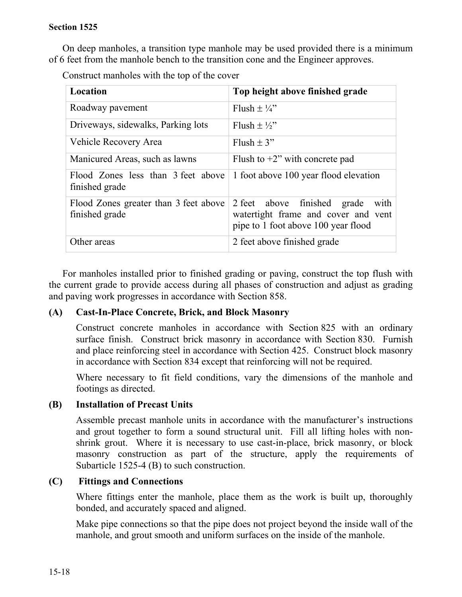On deep manholes, a transition type manhole may be used provided there is a minimum of 6 feet from the manhole bench to the transition cone and the Engineer approves.

Construct manholes with the top of the cover

| Location                                                | Top height above finished grade                                                                                   |
|---------------------------------------------------------|-------------------------------------------------------------------------------------------------------------------|
| Roadway pavement                                        | Flush $\pm\frac{1}{4}$                                                                                            |
| Driveways, sidewalks, Parking lots                      | Flush $\pm \frac{1}{2}$ "                                                                                         |
| Vehicle Recovery Area                                   | Flush $\pm$ 3"                                                                                                    |
| Manicured Areas, such as lawns                          | Flush to $+2$ " with concrete pad                                                                                 |
| Flood Zones less than 3 feet above<br>finished grade    | 1 foot above 100 year flood elevation                                                                             |
| Flood Zones greater than 3 feet above<br>finished grade | 2 feet above finished grade<br>with<br>watertight frame and cover and vent<br>pipe to 1 foot above 100 year flood |
| Other areas                                             | 2 feet above finished grade                                                                                       |

For manholes installed prior to finished grading or paving, construct the top flush with the current grade to provide access during all phases of construction and adjust as grading and paving work progresses in accordance with Section 858.

# **(A) Cast-In-Place Concrete, Brick, and Block Masonry**

Construct concrete manholes in accordance with Section 825 with an ordinary surface finish. Construct brick masonry in accordance with Section 830. Furnish and place reinforcing steel in accordance with Section 425. Construct block masonry in accordance with Section 834 except that reinforcing will not be required.

Where necessary to fit field conditions, vary the dimensions of the manhole and footings as directed.

# **(B) Installation of Precast Units**

Assemble precast manhole units in accordance with the manufacturer's instructions and grout together to form a sound structural unit. Fill all lifting holes with nonshrink grout. Where it is necessary to use cast-in-place, brick masonry, or block masonry construction as part of the structure, apply the requirements of Subarticle 1525-4 (B) to such construction.

# **(C) Fittings and Connections**

Where fittings enter the manhole, place them as the work is built up, thoroughly bonded, and accurately spaced and aligned.

Make pipe connections so that the pipe does not project beyond the inside wall of the manhole, and grout smooth and uniform surfaces on the inside of the manhole.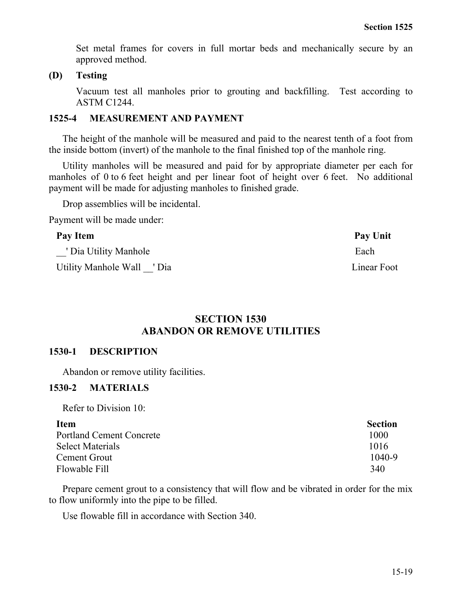Set metal frames for covers in full mortar beds and mechanically secure by an approved method.

#### **(D) Testing**

Vacuum test all manholes prior to grouting and backfilling. Test according to ASTM C1244.

#### **1525-4 MEASUREMENT AND PAYMENT**

The height of the manhole will be measured and paid to the nearest tenth of a foot from the inside bottom (invert) of the manhole to the final finished top of the manhole ring.

Utility manholes will be measured and paid for by appropriate diameter per each for manholes of 0 to 6 feet height and per linear foot of height over 6 feet. No additional payment will be made for adjusting manholes to finished grade.

Drop assemblies will be incidental.

Payment will be made under:

#### Pay Item Pay Unit

' Dia Utility Manhole Each

Utility Manhole Wall  $\blacksquare$  Dia Linear Foot

# **SECTION 1530 ABANDON OR REMOVE UTILITIES**

## **1530-1 DESCRIPTION**

Abandon or remove utility facilities.

## **1530-2 MATERIALS**

Refer to Division 10:

## **Item** Section Portland Cement Concrete 1000 and the 1000 and the 1000 and the 1000 and the 1000 and the 1000 and the 1000 and the 1000 and the 1000 and the 1000 and the 1000 and the 1000 and the 1000 and the 1000 and the 1000 and the 10 Select Materials 1016 Cement Grout 1040-9 Flowable Fill 340

Prepare cement grout to a consistency that will flow and be vibrated in order for the mix to flow uniformly into the pipe to be filled.

Use flowable fill in accordance with Section 340.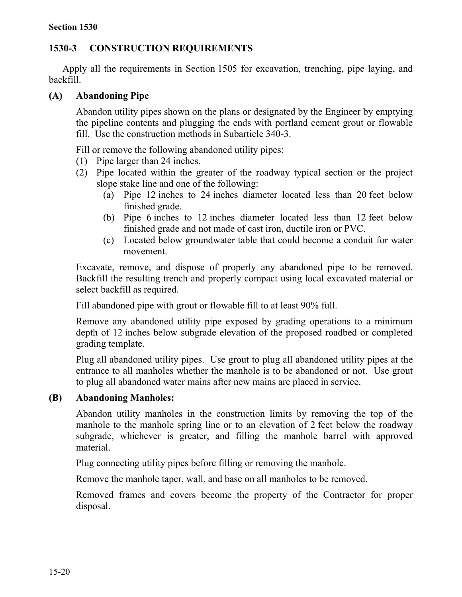# **1530-3 CONSTRUCTION REQUIREMENTS**

Apply all the requirements in Section 1505 for excavation, trenching, pipe laying, and backfill.

# **(A) Abandoning Pipe**

Abandon utility pipes shown on the plans or designated by the Engineer by emptying the pipeline contents and plugging the ends with portland cement grout or flowable fill. Use the construction methods in Subarticle 340-3.

Fill or remove the following abandoned utility pipes:

- (1) Pipe larger than 24 inches.
- (2) Pipe located within the greater of the roadway typical section or the project slope stake line and one of the following:
	- (a) Pipe 12 inches to 24 inches diameter located less than 20 feet below finished grade.
	- (b) Pipe 6 inches to 12 inches diameter located less than 12 feet below finished grade and not made of cast iron, ductile iron or PVC.
	- (c) Located below groundwater table that could become a conduit for water movement.

Excavate, remove, and dispose of properly any abandoned pipe to be removed. Backfill the resulting trench and properly compact using local excavated material or select backfill as required.

Fill abandoned pipe with grout or flowable fill to at least 90% full.

Remove any abandoned utility pipe exposed by grading operations to a minimum depth of 12 inches below subgrade elevation of the proposed roadbed or completed grading template.

Plug all abandoned utility pipes. Use grout to plug all abandoned utility pipes at the entrance to all manholes whether the manhole is to be abandoned or not. Use grout to plug all abandoned water mains after new mains are placed in service.

# **(B) Abandoning Manholes:**

Abandon utility manholes in the construction limits by removing the top of the manhole to the manhole spring line or to an elevation of 2 feet below the roadway subgrade, whichever is greater, and filling the manhole barrel with approved material.

Plug connecting utility pipes before filling or removing the manhole.

Remove the manhole taper, wall, and base on all manholes to be removed.

Removed frames and covers become the property of the Contractor for proper disposal.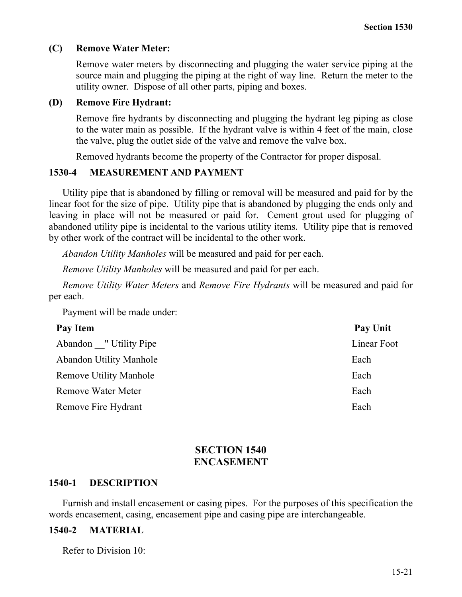## **(C) Remove Water Meter:**

Remove water meters by disconnecting and plugging the water service piping at the source main and plugging the piping at the right of way line. Return the meter to the utility owner. Dispose of all other parts, piping and boxes.

## **(D) Remove Fire Hydrant:**

Remove fire hydrants by disconnecting and plugging the hydrant leg piping as close to the water main as possible. If the hydrant valve is within 4 feet of the main, close the valve, plug the outlet side of the valve and remove the valve box.

Removed hydrants become the property of the Contractor for proper disposal.

## **1530-4 MEASUREMENT AND PAYMENT**

Utility pipe that is abandoned by filling or removal will be measured and paid for by the linear foot for the size of pipe. Utility pipe that is abandoned by plugging the ends only and leaving in place will not be measured or paid for. Cement grout used for plugging of abandoned utility pipe is incidental to the various utility items. Utility pipe that is removed by other work of the contract will be incidental to the other work.

*Abandon Utility Manholes* will be measured and paid for per each.

*Remove Utility Manholes* will be measured and paid for per each.

*Remove Utility Water Meters* and *Remove Fire Hydrants* will be measured and paid for per each.

Payment will be made under:

| Pay Item                       | <b>Pay Unit</b> |
|--------------------------------|-----------------|
| Abandon "Utility Pipe          | Linear Foot     |
| <b>Abandon Utility Manhole</b> | Each            |
| <b>Remove Utility Manhole</b>  | Each            |
| <b>Remove Water Meter</b>      | Each            |
| Remove Fire Hydrant            | Each            |

# **SECTION 1540 ENCASEMENT**

## **1540-1 DESCRIPTION**

Furnish and install encasement or casing pipes. For the purposes of this specification the words encasement, casing, encasement pipe and casing pipe are interchangeable.

## **1540-2 MATERIAL**

Refer to Division 10: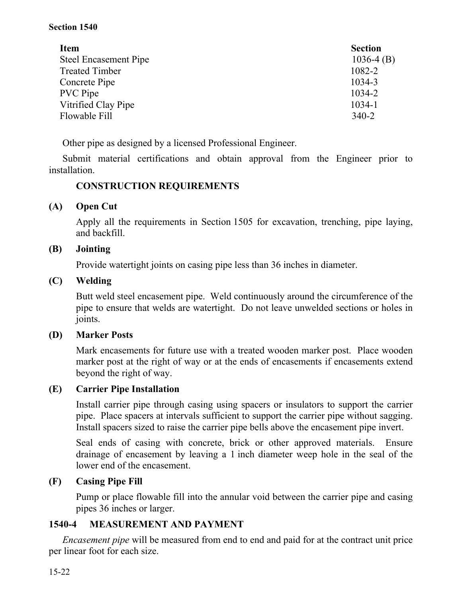| <b>Item</b>                  | <b>Section</b> |
|------------------------------|----------------|
| <b>Steel Encasement Pipe</b> | $1036-4$ (B)   |
| <b>Treated Timber</b>        | 1082-2         |
| Concrete Pipe                | 1034-3         |
| <b>PVC</b> Pipe              | 1034-2         |
| Vitrified Clay Pipe          | 1034-1         |
| Flowable Fill                | $340 - 2$      |

Other pipe as designed by a licensed Professional Engineer.

Submit material certifications and obtain approval from the Engineer prior to installation.

# **CONSTRUCTION REQUIREMENTS**

# **(A) Open Cut**

Apply all the requirements in Section 1505 for excavation, trenching, pipe laying, and backfill.

# **(B) Jointing**

Provide watertight joints on casing pipe less than 36 inches in diameter.

# **(C) Welding**

Butt weld steel encasement pipe. Weld continuously around the circumference of the pipe to ensure that welds are watertight. Do not leave unwelded sections or holes in joints.

# **(D) Marker Posts**

Mark encasements for future use with a treated wooden marker post. Place wooden marker post at the right of way or at the ends of encasements if encasements extend beyond the right of way.

# **(E) Carrier Pipe Installation**

Install carrier pipe through casing using spacers or insulators to support the carrier pipe. Place spacers at intervals sufficient to support the carrier pipe without sagging. Install spacers sized to raise the carrier pipe bells above the encasement pipe invert.

Seal ends of casing with concrete, brick or other approved materials. Ensure drainage of encasement by leaving a 1 inch diameter weep hole in the seal of the lower end of the encasement.

# **(F) Casing Pipe Fill**

Pump or place flowable fill into the annular void between the carrier pipe and casing pipes 36 inches or larger.

# **1540-4 MEASUREMENT AND PAYMENT**

*Encasement pipe* will be measured from end to end and paid for at the contract unit price per linear foot for each size.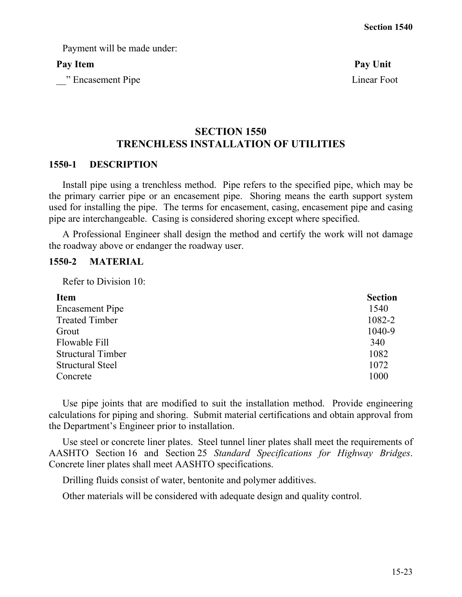Payment will be made under:

\_\_" Encasement Pipe Linear Foot

Pay Item Pay Unit

# **SECTION 1550 TRENCHLESS INSTALLATION OF UTILITIES**

#### **1550-1 DESCRIPTION**

Install pipe using a trenchless method. Pipe refers to the specified pipe, which may be the primary carrier pipe or an encasement pipe. Shoring means the earth support system used for installing the pipe. The terms for encasement, casing, encasement pipe and casing pipe are interchangeable. Casing is considered shoring except where specified.

A Professional Engineer shall design the method and certify the work will not damage the roadway above or endanger the roadway user.

## **1550-2 MATERIAL**

Refer to Division 10:

| <b>Item</b>              | <b>Section</b> |
|--------------------------|----------------|
| <b>Encasement Pipe</b>   | 1540           |
| <b>Treated Timber</b>    | 1082-2         |
| Grout                    | 1040-9         |
| Flowable Fill            | 340            |
| <b>Structural Timber</b> | 1082           |
| <b>Structural Steel</b>  | 1072           |
| Concrete                 | 1000           |

Use pipe joints that are modified to suit the installation method. Provide engineering calculations for piping and shoring. Submit material certifications and obtain approval from the Department's Engineer prior to installation.

Use steel or concrete liner plates. Steel tunnel liner plates shall meet the requirements of AASHTO Section 16 and Section 25 *Standard Specifications for Highway Bridges*. Concrete liner plates shall meet AASHTO specifications.

Drilling fluids consist of water, bentonite and polymer additives.

Other materials will be considered with adequate design and quality control.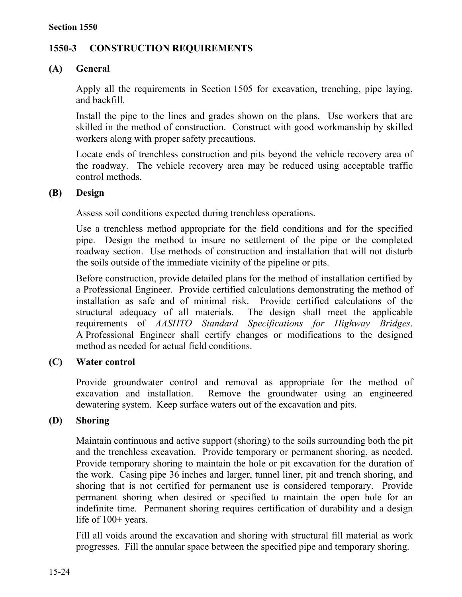# **1550-3 CONSTRUCTION REQUIREMENTS**

# **(A) General**

Apply all the requirements in Section 1505 for excavation, trenching, pipe laying, and backfill.

Install the pipe to the lines and grades shown on the plans. Use workers that are skilled in the method of construction. Construct with good workmanship by skilled workers along with proper safety precautions.

Locate ends of trenchless construction and pits beyond the vehicle recovery area of the roadway. The vehicle recovery area may be reduced using acceptable traffic control methods.

# **(B) Design**

Assess soil conditions expected during trenchless operations.

Use a trenchless method appropriate for the field conditions and for the specified pipe. Design the method to insure no settlement of the pipe or the completed roadway section. Use methods of construction and installation that will not disturb the soils outside of the immediate vicinity of the pipeline or pits.

Before construction, provide detailed plans for the method of installation certified by a Professional Engineer. Provide certified calculations demonstrating the method of installation as safe and of minimal risk. Provide certified calculations of the structural adequacy of all materials. The design shall meet the applicable requirements of *AASHTO Standard Specifications for Highway Bridges*. A Professional Engineer shall certify changes or modifications to the designed method as needed for actual field conditions.

# **(C) Water control**

Provide groundwater control and removal as appropriate for the method of excavation and installation. Remove the groundwater using an engineered dewatering system. Keep surface waters out of the excavation and pits.

# **(D) Shoring**

Maintain continuous and active support (shoring) to the soils surrounding both the pit and the trenchless excavation. Provide temporary or permanent shoring, as needed. Provide temporary shoring to maintain the hole or pit excavation for the duration of the work. Casing pipe 36 inches and larger, tunnel liner, pit and trench shoring, and shoring that is not certified for permanent use is considered temporary. Provide permanent shoring when desired or specified to maintain the open hole for an indefinite time. Permanent shoring requires certification of durability and a design life of 100+ years.

Fill all voids around the excavation and shoring with structural fill material as work progresses. Fill the annular space between the specified pipe and temporary shoring.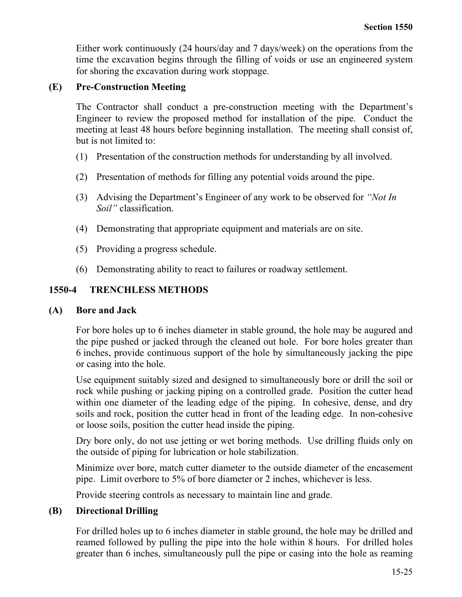Either work continuously (24 hours/day and 7 days/week) on the operations from the time the excavation begins through the filling of voids or use an engineered system for shoring the excavation during work stoppage.

# **(E) Pre-Construction Meeting**

The Contractor shall conduct a pre-construction meeting with the Department's Engineer to review the proposed method for installation of the pipe. Conduct the meeting at least 48 hours before beginning installation. The meeting shall consist of, but is not limited to:

- (1) Presentation of the construction methods for understanding by all involved.
- (2) Presentation of methods for filling any potential voids around the pipe.
- (3) Advising the Department's Engineer of any work to be observed for *"Not In Soil"* classification.
- (4) Demonstrating that appropriate equipment and materials are on site.
- (5) Providing a progress schedule.
- (6) Demonstrating ability to react to failures or roadway settlement.

# **1550-4 TRENCHLESS METHODS**

# **(A) Bore and Jack**

For bore holes up to 6 inches diameter in stable ground, the hole may be augured and the pipe pushed or jacked through the cleaned out hole. For bore holes greater than 6 inches, provide continuous support of the hole by simultaneously jacking the pipe or casing into the hole.

Use equipment suitably sized and designed to simultaneously bore or drill the soil or rock while pushing or jacking piping on a controlled grade. Position the cutter head within one diameter of the leading edge of the piping. In cohesive, dense, and dry soils and rock, position the cutter head in front of the leading edge. In non-cohesive or loose soils, position the cutter head inside the piping.

Dry bore only, do not use jetting or wet boring methods. Use drilling fluids only on the outside of piping for lubrication or hole stabilization.

Minimize over bore, match cutter diameter to the outside diameter of the encasement pipe. Limit overbore to 5% of bore diameter or 2 inches, whichever is less.

Provide steering controls as necessary to maintain line and grade.

# **(B) Directional Drilling**

For drilled holes up to 6 inches diameter in stable ground, the hole may be drilled and reamed followed by pulling the pipe into the hole within 8 hours. For drilled holes greater than 6 inches, simultaneously pull the pipe or casing into the hole as reaming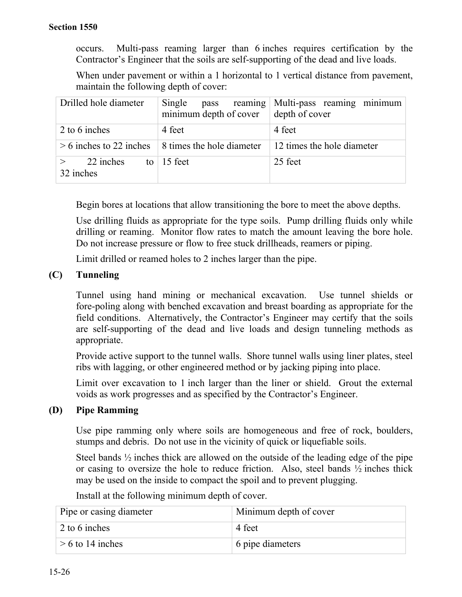occurs. Multi-pass reaming larger than 6 inches requires certification by the Contractor's Engineer that the soils are self-supporting of the dead and live loads.

When under pavement or within a 1 horizontal to 1 vertical distance from pavement, maintain the following depth of cover:

| Drilled hole diameter        | Single<br>pass reaming<br>minimum depth of cover | Multi-pass reaming minimum<br>depth of cover |
|------------------------------|--------------------------------------------------|----------------------------------------------|
| 2 to 6 inches                | 4 feet                                           | 4 feet                                       |
| $> 6$ inches to 22 inches    | 8 times the hole diameter                        | 12 times the hole diameter                   |
| 22 inches<br>to<br>32 inches | 15 feet                                          | 25 feet                                      |

Begin bores at locations that allow transitioning the bore to meet the above depths.

Use drilling fluids as appropriate for the type soils. Pump drilling fluids only while drilling or reaming. Monitor flow rates to match the amount leaving the bore hole. Do not increase pressure or flow to free stuck drillheads, reamers or piping.

Limit drilled or reamed holes to 2 inches larger than the pipe.

## **(C) Tunneling**

Tunnel using hand mining or mechanical excavation. Use tunnel shields or fore-poling along with benched excavation and breast boarding as appropriate for the field conditions. Alternatively, the Contractor's Engineer may certify that the soils are self-supporting of the dead and live loads and design tunneling methods as appropriate.

Provide active support to the tunnel walls. Shore tunnel walls using liner plates, steel ribs with lagging, or other engineered method or by jacking piping into place.

Limit over excavation to 1 inch larger than the liner or shield. Grout the external voids as work progresses and as specified by the Contractor's Engineer.

# **(D) Pipe Ramming**

Use pipe ramming only where soils are homogeneous and free of rock, boulders, stumps and debris. Do not use in the vicinity of quick or liquefiable soils.

Steel bands ½ inches thick are allowed on the outside of the leading edge of the pipe or casing to oversize the hole to reduce friction. Also, steel bands  $\frac{1}{2}$  inches thick may be used on the inside to compact the spoil and to prevent plugging.

| Pipe or casing diameter | Minimum depth of cover         |
|-------------------------|--------------------------------|
| 2 to 6 inches           | 4 feet                         |
| $> 6$ to 14 inches      | $\frac{1}{2}$ 6 pipe diameters |

Install at the following minimum depth of cover.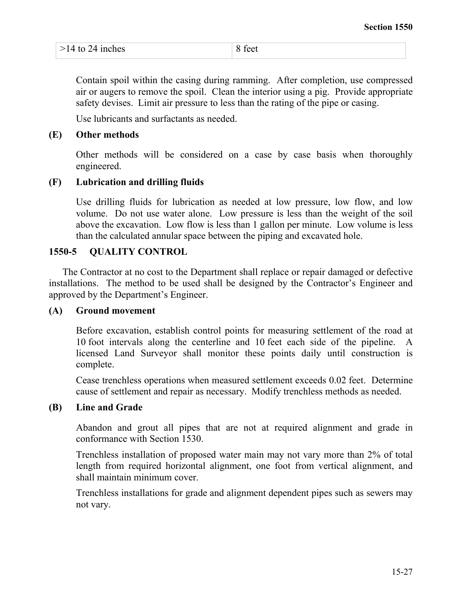|  | $>14$ to 24 inches | feet<br>↗ |
|--|--------------------|-----------|
|--|--------------------|-----------|

Contain spoil within the casing during ramming. After completion, use compressed air or augers to remove the spoil. Clean the interior using a pig. Provide appropriate safety devises. Limit air pressure to less than the rating of the pipe or casing.

Use lubricants and surfactants as needed.

## **(E) Other methods**

Other methods will be considered on a case by case basis when thoroughly engineered.

# **(F) Lubrication and drilling fluids**

Use drilling fluids for lubrication as needed at low pressure, low flow, and low volume. Do not use water alone. Low pressure is less than the weight of the soil above the excavation. Low flow is less than 1 gallon per minute. Low volume is less than the calculated annular space between the piping and excavated hole.

## **1550-5 QUALITY CONTROL**

The Contractor at no cost to the Department shall replace or repair damaged or defective installations. The method to be used shall be designed by the Contractor's Engineer and approved by the Department's Engineer.

## **(A) Ground movement**

Before excavation, establish control points for measuring settlement of the road at 10 foot intervals along the centerline and 10 feet each side of the pipeline. A licensed Land Surveyor shall monitor these points daily until construction is complete.

Cease trenchless operations when measured settlement exceeds 0.02 feet. Determine cause of settlement and repair as necessary. Modify trenchless methods as needed.

## **(B) Line and Grade**

Abandon and grout all pipes that are not at required alignment and grade in conformance with Section 1530.

Trenchless installation of proposed water main may not vary more than 2% of total length from required horizontal alignment, one foot from vertical alignment, and shall maintain minimum cover.

Trenchless installations for grade and alignment dependent pipes such as sewers may not vary.